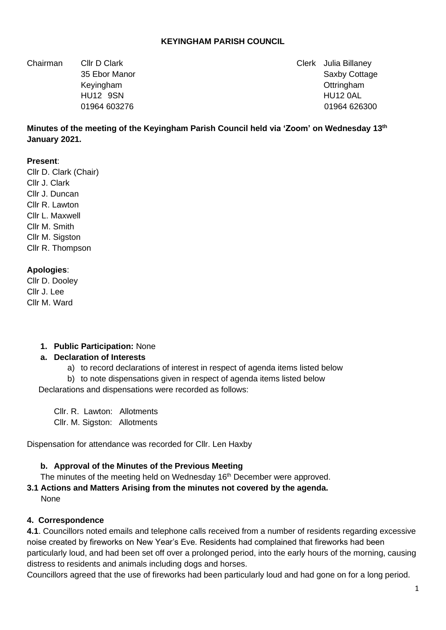## **KEYINGHAM PARISH COUNCIL**

Chairman Cllr D Clark Clerk Julia Billaney

35 Ebor Manor Saxby Cottage 35 Ebor Manor Saxby Cottage 35 Ebor Manor Saxby Cottage Keyingham Ottringham HU12 9SN HU12 0AL 01964 603276 01964 026300

## **Minutes of the meeting of the Keyingham Parish Council held via 'Zoom' on Wednesday 13th January 2021.**

### **Present**:

Cllr D. Clark (Chair) Cllr J. Clark Cllr J. Duncan Cllr R. Lawton Cllr L. Maxwell Cllr M. Smith Cllr M. Sigston Cllr R. Thompson

### **Apologies**:

Cllr D. Dooley Cllr J. Lee Cllr M. Ward

### **1. Public Participation:** None

### **a. Declaration of Interests**

a) to record declarations of interest in respect of agenda items listed below

b) to note dispensations given in respect of agenda items listed below Declarations and dispensations were recorded as follows:

Cllr. R. Lawton: Allotments Cllr. M. Sigston: Allotments

Dispensation for attendance was recorded for Cllr. Len Haxby

#### **b. Approval of the Minutes of the Previous Meeting**

The minutes of the meeting held on Wednesday 16<sup>th</sup> December were approved.

**3.1 Actions and Matters Arising from the minutes not covered by the agenda.** None

#### **4. Correspondence**

**4.1**. Councillors noted emails and telephone calls received from a number of residents regarding excessive noise created by fireworks on New Year's Eve. Residents had complained that fireworks had been particularly loud, and had been set off over a prolonged period, into the early hours of the morning, causing distress to residents and animals including dogs and horses.

Councillors agreed that the use of fireworks had been particularly loud and had gone on for a long period.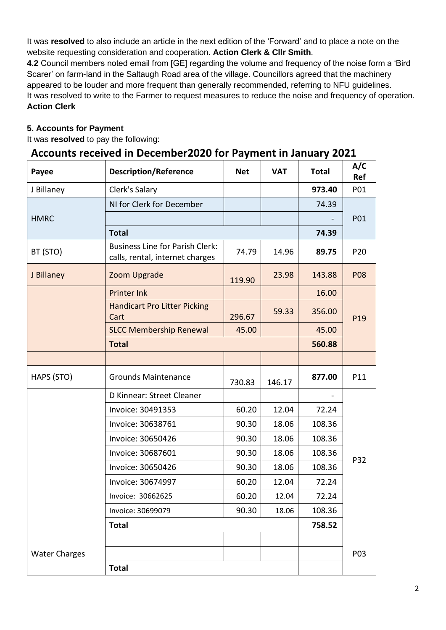It was **resolved** to also include an article in the next edition of the 'Forward' and to place a note on the website requesting consideration and cooperation. **Action Clerk & Cllr Smith**.

**4.2** Council members noted email from [GE] regarding the volume and frequency of the noise form a 'Bird Scarer' on farm-land in the Saltaugh Road area of the village. Councillors agreed that the machinery appeared to be louder and more frequent than generally recommended, referring to NFU guidelines. It was resolved to write to the Farmer to request measures to reduce the noise and frequency of operation. **Action Clerk** 

## **5. Accounts for Payment**

It was **resolved** to pay the following:

# **Accounts received in December2020 for Payment in January 2021**

| Payee                | <b>Description/Reference</b>                                              | <b>Net</b> | <b>VAT</b> | <b>Total</b> | A/C<br>Ref |
|----------------------|---------------------------------------------------------------------------|------------|------------|--------------|------------|
| J Billaney           | Clerk's Salary                                                            |            |            | 973.40       | P01        |
| <b>HMRC</b>          | NI for Clerk for December                                                 |            |            | 74.39        | P01        |
|                      |                                                                           |            |            |              |            |
|                      | <b>Total</b>                                                              |            |            | 74.39        |            |
| BT (STO)             | <b>Business Line for Parish Clerk:</b><br>calls, rental, internet charges | 74.79      | 14.96      | 89.75        | P20        |
| J Billaney           | Zoom Upgrade                                                              | 119.90     | 23.98      | 143.88       | <b>P08</b> |
|                      | <b>Printer Ink</b>                                                        |            |            | 16.00        |            |
|                      | <b>Handicart Pro Litter Picking</b><br>Cart                               | 296.67     | 59.33      | 356.00       | P19        |
|                      | <b>SLCC Membership Renewal</b>                                            | 45.00      |            | 45.00        |            |
|                      | <b>Total</b>                                                              |            | 560.88     |              |            |
|                      |                                                                           |            |            |              |            |
| HAPS (STO)           | <b>Grounds Maintenance</b>                                                | 730.83     | 146.17     | 877.00       | P11        |
|                      | D Kinnear: Street Cleaner                                                 |            |            |              |            |
|                      | Invoice: 30491353                                                         | 60.20      | 12.04      | 72.24        |            |
|                      | Invoice: 30638761                                                         | 90.30      | 18.06      | 108.36       |            |
|                      | Invoice: 30650426                                                         | 90.30      | 18.06      | 108.36       | P32        |
|                      | Invoice: 30687601                                                         | 90.30      | 18.06      | 108.36       |            |
|                      | Invoice: 30650426                                                         | 90.30      | 18.06      | 108.36       |            |
|                      | Invoice: 30674997                                                         | 60.20      | 12.04      | 72.24        |            |
|                      | Invoice: 30662625                                                         | 60.20      | 12.04      | 72.24        |            |
|                      | Invoice: 30699079                                                         | 90.30      | 18.06      | 108.36       |            |
|                      | <b>Total</b>                                                              |            |            | 758.52       |            |
| <b>Water Charges</b> |                                                                           |            |            |              |            |
|                      |                                                                           |            |            |              | P03        |
|                      | <b>Total</b>                                                              |            |            |              |            |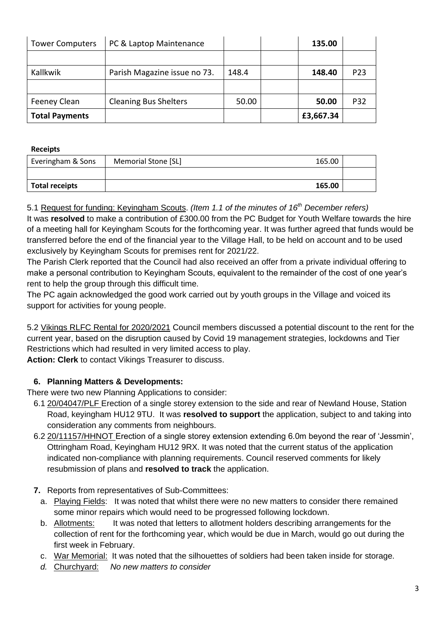| <b>Tower Computers</b> | PC & Laptop Maintenance      |       | 135.00    |                 |
|------------------------|------------------------------|-------|-----------|-----------------|
|                        |                              |       |           |                 |
| Kallkwik               | Parish Magazine issue no 73. | 148.4 | 148.40    | P <sub>23</sub> |
|                        |                              |       |           |                 |
| Feeney Clean           | <b>Cleaning Bus Shelters</b> | 50.00 | 50.00     | <b>P32</b>      |
| <b>Total Payments</b>  |                              |       | £3,667.34 |                 |

## **Receipts**

| Everingham & Sons     | Memorial Stone [SL] | 165.00 |  |
|-----------------------|---------------------|--------|--|
|                       |                     |        |  |
| <b>Total receipts</b> |                     | 165.00 |  |

## 5.1 Request for funding: Keyingham Scouts. *(Item 1.1 of the minutes of 16th December refers)*

It was **resolved** to make a contribution of £300.00 from the PC Budget for Youth Welfare towards the hire of a meeting hall for Keyingham Scouts for the forthcoming year. It was further agreed that funds would be transferred before the end of the financial year to the Village Hall, to be held on account and to be used exclusively by Keyingham Scouts for premises rent for 2021/22.

The Parish Clerk reported that the Council had also received an offer from a private individual offering to make a personal contribution to Keyingham Scouts, equivalent to the remainder of the cost of one year's rent to help the group through this difficult time.

The PC again acknowledged the good work carried out by youth groups in the Village and voiced its support for activities for young people.

5.2 Vikings RLFC Rental for 2020/2021 Council members discussed a potential discount to the rent for the current year, based on the disruption caused by Covid 19 management strategies, lockdowns and Tier Restrictions which had resulted in very limited access to play.

**Action: Clerk** to contact Vikings Treasurer to discuss.

# **6. Planning Matters & Developments:**

There were two new Planning Applications to consider:

- 6.1 20/04047/PLF Erection of a single storey extension to the side and rear of Newland House, Station Road, keyingham HU12 9TU. It was **resolved to support** the application, subject to and taking into consideration any comments from neighbours.
- 6.2 20/11157/HHNOT Erection of a single storey extension extending 6.0m beyond the rear of 'Jessmin', Ottringham Road, Keyingham HU12 9RX. It was noted that the current status of the application indicated non-compliance with planning requirements. Council reserved comments for likely resubmission of plans and **resolved to track** the application.
- **7.** Reports from representatives of Sub-Committees:
	- a. Playing Fields: It was noted that whilst there were no new matters to consider there remained some minor repairs which would need to be progressed following lockdown.
	- b. Allotments: It was noted that letters to allotment holders describing arrangements for the collection of rent for the forthcoming year, which would be due in March, would go out during the first week in February.
	- c. War Memorial: It was noted that the silhouettes of soldiers had been taken inside for storage.
	- *d.* Churchyard: *No new matters to consider*